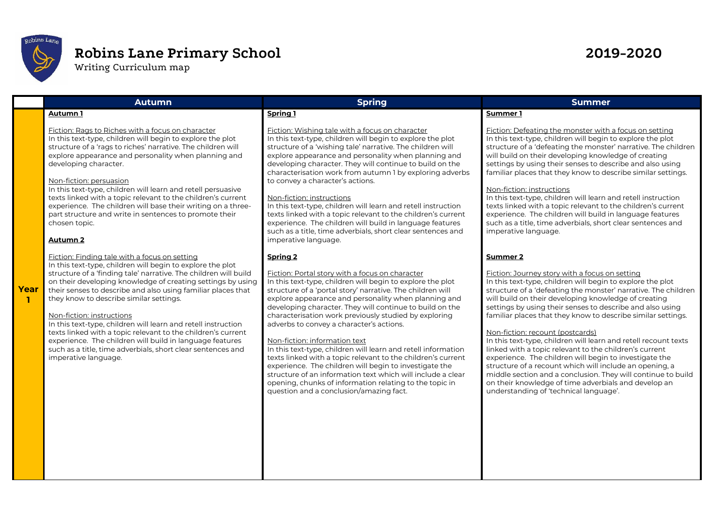

# **Robins Lane Primary School 2019-2020**

Writing Curriculum map

|      | <b>Autumn</b>                                                                                                                                                                                                                                                                                                                                                                                                                                                                                                                                                                                                                                                              | <b>Spring</b>                                                                                                                                                                                                                                                                                                                                                                                                                                                                                                                                                                                                                                                                                                                                                                                                            | <b>Summer</b>                                                                                                                                                                                                                                                                                                                                                                                                                                                                                                                                                                                                                                                                                                                                                                                                                                  |  |  |  |
|------|----------------------------------------------------------------------------------------------------------------------------------------------------------------------------------------------------------------------------------------------------------------------------------------------------------------------------------------------------------------------------------------------------------------------------------------------------------------------------------------------------------------------------------------------------------------------------------------------------------------------------------------------------------------------------|--------------------------------------------------------------------------------------------------------------------------------------------------------------------------------------------------------------------------------------------------------------------------------------------------------------------------------------------------------------------------------------------------------------------------------------------------------------------------------------------------------------------------------------------------------------------------------------------------------------------------------------------------------------------------------------------------------------------------------------------------------------------------------------------------------------------------|------------------------------------------------------------------------------------------------------------------------------------------------------------------------------------------------------------------------------------------------------------------------------------------------------------------------------------------------------------------------------------------------------------------------------------------------------------------------------------------------------------------------------------------------------------------------------------------------------------------------------------------------------------------------------------------------------------------------------------------------------------------------------------------------------------------------------------------------|--|--|--|
|      | Autumn 1<br>Fiction: Rags to Riches with a focus on character<br>In this text-type, children will begin to explore the plot<br>structure of a 'rags to riches' narrative. The children will<br>explore appearance and personality when planning and<br>developing character.                                                                                                                                                                                                                                                                                                                                                                                               | <b>Spring 1</b><br>Fiction: Wishing tale with a focus on character<br>In this text-type, children will begin to explore the plot<br>structure of a 'wishing tale' narrative. The children will<br>explore appearance and personality when planning and<br>developing character. They will continue to build on the<br>characterisation work from autumn 1 by exploring adverbs                                                                                                                                                                                                                                                                                                                                                                                                                                           | Summer 1<br>Fiction: Defeating the monster with a focus on setting<br>In this text-type, children will begin to explore the plot<br>structure of a 'defeating the monster' narrative. The children<br>will build on their developing knowledge of creating<br>settings by using their senses to describe and also using<br>familiar places that they know to describe similar settings.                                                                                                                                                                                                                                                                                                                                                                                                                                                        |  |  |  |
|      | Non-fiction: persuasion<br>In this text-type, children will learn and retell persuasive<br>texts linked with a topic relevant to the children's current<br>experience. The children will base their writing on a three-<br>part structure and write in sentences to promote their<br>chosen topic.<br><b>Autumn 2</b>                                                                                                                                                                                                                                                                                                                                                      | to convey a character's actions.<br>Non-fiction: instructions<br>In this text-type, children will learn and retell instruction<br>texts linked with a topic relevant to the children's current<br>experience. The children will build in language features<br>such as a title, time adverbials, short clear sentences and<br>imperative language.                                                                                                                                                                                                                                                                                                                                                                                                                                                                        | Non-fiction: instructions<br>In this text-type, children will learn and retell instruction<br>texts linked with a topic relevant to the children's current<br>experience. The children will build in language features<br>such as a title, time adverbials, short clear sentences and<br>imperative language.                                                                                                                                                                                                                                                                                                                                                                                                                                                                                                                                  |  |  |  |
| Year | Fiction: Finding tale with a focus on setting<br>In this text-type, children will begin to explore the plot<br>structure of a 'finding tale' narrative. The children will build<br>on their developing knowledge of creating settings by using<br>their senses to describe and also using familiar places that<br>they know to describe similar settings.<br>Non-fiction: instructions<br>In this text-type, children will learn and retell instruction<br>texts linked with a topic relevant to the children's current<br>experience. The children will build in language features<br>such as a title, time adverbials, short clear sentences and<br>imperative language. | <b>Spring 2</b><br>Fiction: Portal story with a focus on character<br>In this text-type, children will begin to explore the plot<br>structure of a 'portal story' narrative. The children will<br>explore appearance and personality when planning and<br>developing character. They will continue to build on the<br>characterisation work previously studied by exploring<br>adverbs to convey a character's actions.<br>Non-fiction: information text<br>In this text-type, children will learn and retell information<br>texts linked with a topic relevant to the children's current<br>experience. The children will begin to investigate the<br>structure of an information text which will include a clear<br>opening, chunks of information relating to the topic in<br>question and a conclusion/amazing fact. | <b>Summer 2</b><br>Fiction: Journey story with a focus on setting<br>In this text-type, children will begin to explore the plot<br>structure of a 'defeating the monster' narrative. The children<br>will build on their developing knowledge of creating<br>settings by using their senses to describe and also using<br>familiar places that they know to describe similar settings.<br>Non-fiction: recount (postcards)<br>In this text-type, children will learn and retell recount texts<br>linked with a topic relevant to the children's current<br>experience. The children will begin to investigate the<br>structure of a recount which will include an opening, a<br>middle section and a conclusion. They will continue to build<br>on their knowledge of time adverbials and develop an<br>understanding of 'technical language'. |  |  |  |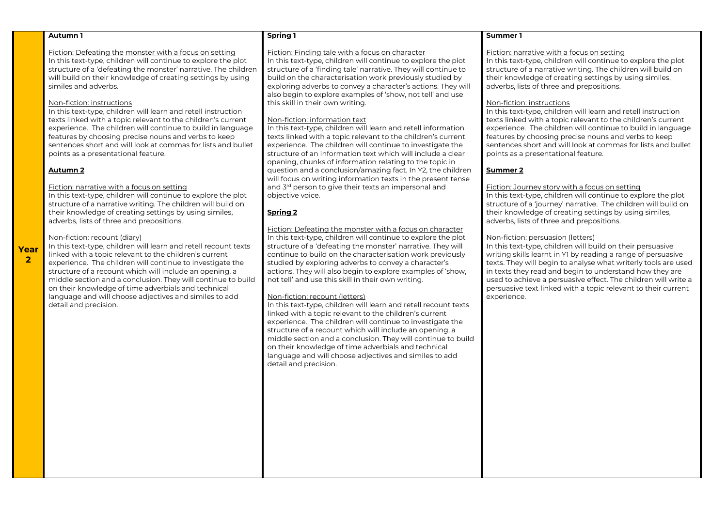Fiction: Defeating the monster with a focus on setting

In this text-type, children will continue to explore the plot structure of a 'defeating the monster' narrative. The children will build on their knowledge of creating settings by using similes and adverbs.

#### Non-fiction: instructions

In this text-type, children will learn and retell instruction texts linked with a topic relevant to the children's current experience. The children will continue to build in language features by choosing precise nouns and verbs to keep sentences short and will look at commas for lists and bullet points as a presentational feature.

# **Autumn 2**

**Year 2**

#### Fiction: narrative with a focus on setting

In this text-type, children will continue to explore the plot structure of a narrative writing. The children will build on their knowledge of creating settings by using similes, adverbs, lists of three and prepositions.

# Non-fiction: recount (diary)

In this text-type, children will learn and retell recount texts linked with a topic relevant to the children's current experience. The children will continue to investigate the structure of a recount which will include an opening, a middle section and a conclusion. They will continue to build on their knowledge of time adverbials and technical language and will choose adjectives and similes to add detail and precision.

#### **Spring 1**

#### Fiction: Finding tale with a focus on character

In this text-type, children will continue to explore the plot structure of a 'finding tale' narrative. They will continue to build on the characterisation work previously studied by exploring adverbs to convey a character's actions. They will also begin to explore examples of 'show, not tell' and use this skill in their own writing.

# Non-fiction: information text

In this text-type, children will learn and retell information texts linked with a topic relevant to the children's current experience. The children will continue to investigate the structure of an information text which will include a clear opening, chunks of information relating to the topic in question and a conclusion/amazing fact. In Y2, the children will focus on writing information texts in the present tense and 3<sup>rd</sup> person to give their texts an impersonal and objective voice.

# **Spring 2**

Fiction: Defeating the monster with a focus on character In this text-type, children will continue to explore the plot structure of a 'defeating the monster' narrative. They will continue to build on the characterisation work previously studied by exploring adverbs to convey a character's actions. They will also begin to explore examples of 'show, not tell' and use this skill in their own writing.

#### Non-fiction: recount (letters)

In this text-type, children will learn and retell recount texts linked with a topic relevant to the children's current experience. The children will continue to investigate the structure of a recount which will include an opening, a middle section and a conclusion. They will continue to build on their knowledge of time adverbials and technical language and will choose adjectives and similes to add detail and precision.

# **Summer 1**

# Fiction: narrative with a focus on setting

In this text-type, children will continue to explore the plot structure of a narrative writing. The children will build on their knowledge of creating settings by using similes, adverbs, lists of three and prepositions.

#### Non-fiction: instructions

In this text-type, children will learn and retell instruction texts linked with a topic relevant to the children's current experience. The children will continue to build in language features by choosing precise nouns and verbs to keep sentences short and will look at commas for lists and bullet points as a presentational feature.

# **Summer 2**

## Fiction: Journey story with a focus on setting

In this text-type, children will continue to explore the plot structure of a 'journey' narrative. The children will build on their knowledge of creating settings by using similes, adverbs, lists of three and prepositions.

# Non-fiction: persuasion (letters)

In this text-type, children will build on their persuasive writing skills learnt in Y1 by reading a range of persuasive texts. They will begin to analyse what writerly tools are used in texts they read and begin to understand how they are used to achieve a persuasive effect. The children will write a persuasive text linked with a topic relevant to their current experience.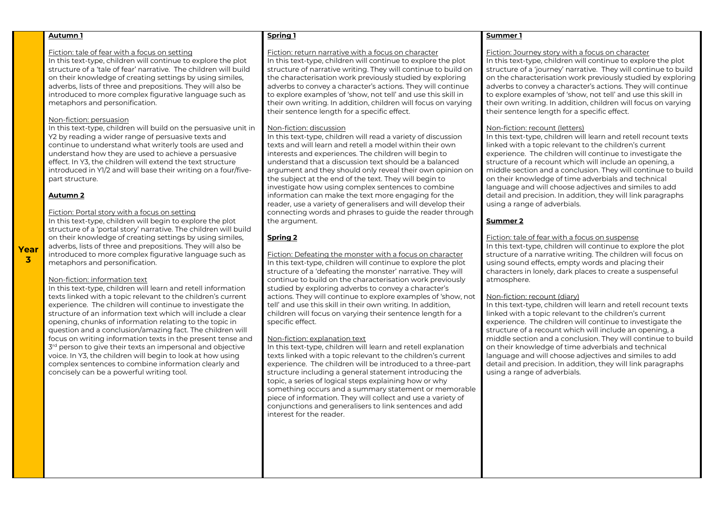#### Fiction: tale of fear with a focus on setting

In this text-type, children will continue to explore the plot structure of a 'tale of fear' narrative. The children will build on their knowledge of creating settings by using similes, adverbs, lists of three and prepositions. They will also be introduced to more complex figurative language such as metaphors and personification.

# Non-fiction: persuasion

In this text-type, children will build on the persuasive unit in Y2 by reading a wider range of persuasive texts and continue to understand what writerly tools are used and understand how they are used to achieve a persuasive effect. In Y3, the children will extend the text structure introduced in Y1/2 and will base their writing on a four/fivepart structure.

# **Autumn 2**

**Year 3**

# Fiction: Portal story with a focus on setting

In this text-type, children will begin to explore the plot structure of a 'portal story' narrative. The children will build on their knowledge of creating settings by using similes, adverbs, lists of three and prepositions. They will also be introduced to more complex figurative language such as metaphors and personification.

#### Non-fiction: information text

In this text-type, children will learn and retell information texts linked with a topic relevant to the children's current experience. The children will continue to investigate the structure of an information text which will include a clear opening, chunks of information relating to the topic in question and a conclusion/amazing fact. The children will focus on writing information texts in the present tense and  $3<sup>rd</sup>$  person to give their texts an impersonal and objective voice. In Y3, the children will begin to look at how using complex sentences to combine information clearly and concisely can be a powerful writing tool.

# **Spring 1**

#### Fiction: return narrative with a focus on character

In this text-type, children will continue to explore the plot structure of narrative writing. They will continue to build on the characterisation work previously studied by exploring adverbs to convey a character's actions. They will continue to explore examples of 'show, not tell' and use this skill in their own writing. In addition, children will focus on varying their sentence length for a specific effect.

## Non-fiction: discussion

In this text-type, children will read a variety of discussion texts and will learn and retell a model within their own interests and experiences. The children will begin to understand that a discussion text should be a balanced argument and they should only reveal their own opinion on the subject at the end of the text. They will begin to investigate how using complex sentences to combine information can make the text more engaging for the reader, use a variety of generalisers and will develop their connecting words and phrases to guide the reader through the argument.

# **Spring 2**

Fiction: Defeating the monster with a focus on character In this text-type, children will continue to explore the plot structure of a 'defeating the monster' narrative. They will continue to build on the characterisation work previously studied by exploring adverbs to convey a character's actions. They will continue to explore examples of 'show, not tell' and use this skill in their own writing. In addition, children will focus on varying their sentence length for a specific effect.

# Non-fiction: explanation text

In this text-type, children will learn and retell explanation texts linked with a topic relevant to the children's current experience. The children will be introduced to a three-part structure including a general statement introducing the topic, a series of logical steps explaining how or why something occurs and a summary statement or memorable piece of information. They will collect and use a variety of conjunctions and generalisers to link sentences and add interest for the reader.

# **Summer 1**

#### Fiction: Journey story with a focus on character

In this text-type, children will continue to explore the plot structure of a 'journey' narrative. They will continue to build on the characterisation work previously studied by exploring adverbs to convey a character's actions. They will continue to explore examples of 'show, not tell' and use this skill in their own writing. In addition, children will focus on varying their sentence length for a specific effect.

# Non-fiction: recount (letters)

In this text-type, children will learn and retell recount texts linked with a topic relevant to the children's current experience. The children will continue to investigate the structure of a recount which will include an opening, a middle section and a conclusion. They will continue to build on their knowledge of time adverbials and technical language and will choose adjectives and similes to add detail and precision. In addition, they will link paragraphs using a range of adverbials.

# **Summer 2**

# Fiction: tale of fear with a focus on suspense

In this text-type, children will continue to explore the plot structure of a narrative writing. The children will focus on using sound effects, empty words and placing their characters in lonely, dark places to create a suspenseful atmosphere.

# Non-fiction: recount (diary)

In this text-type, children will learn and retell recount texts linked with a topic relevant to the children's current experience. The children will continue to investigate the structure of a recount which will include an opening, a middle section and a conclusion. They will continue to build on their knowledge of time adverbials and technical language and will choose adjectives and similes to add detail and precision. In addition, they will link paragraphs using a range of adverbials.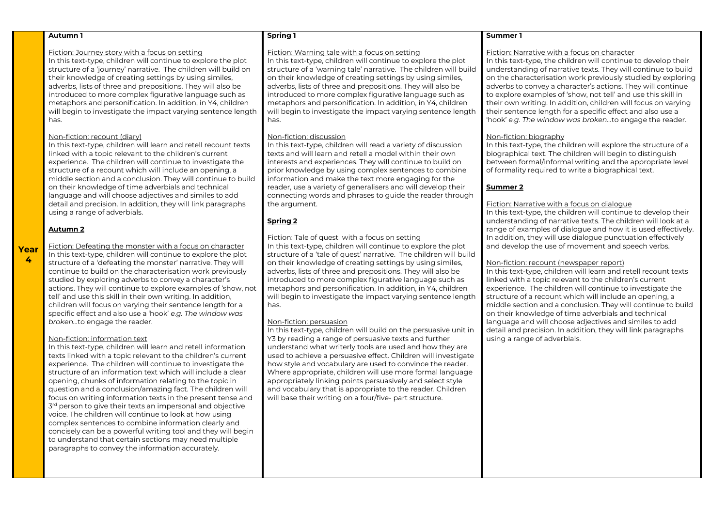#### Fiction: Journey story with a focus on setting

In this text-type, children will continue to explore the plot structure of a 'journey' narrative. The children will build on their knowledge of creating settings by using similes, adverbs, lists of three and prepositions. They will also be introduced to more complex figurative language such as metaphors and personification. In addition, in Y4, children will begin to investigate the impact varying sentence length has.

#### Non-fiction: recount (diary)

In this text-type, children will learn and retell recount texts linked with a topic relevant to the children's current experience. The children will continue to investigate the structure of a recount which will include an opening, a middle section and a conclusion. They will continue to build on their knowledge of time adverbials and technical language and will choose adjectives and similes to add detail and precision. In addition, they will link paragraphs using a range of adverbials.

#### **Autumn 2**

**Year 4**

Fiction: Defeating the monster with a focus on character In this text-type, children will continue to explore the plot structure of a 'defeating the monster' narrative. They will continue to build on the characterisation work previously studied by exploring adverbs to convey a character's actions. They will continue to explore examples of 'show, not tell' and use this skill in their own writing. In addition, children will focus on varying their sentence length for a specific effect and also use a 'hook' *e.g. The window was broken…*to engage the reader.

#### Non-fiction: information text

In this text-type, children will learn and retell information texts linked with a topic relevant to the children's current experience. The children will continue to investigate the structure of an information text which will include a clear opening, chunks of information relating to the topic in question and a conclusion/amazing fact. The children will focus on writing information texts in the present tense and  $3<sup>rd</sup>$  person to give their texts an impersonal and objective voice. The children will continue to look at how using complex sentences to combine information clearly and concisely can be a powerful writing tool and they will begin to understand that certain sections may need multiple paragraphs to convey the information accurately.

#### **Spring 1**

#### Fiction: Warning tale with a focus on setting

In this text-type, children will continue to explore the plot structure of a 'warning tale' narrative. The children will build on their knowledge of creating settings by using similes, adverbs, lists of three and prepositions. They will also be introduced to more complex figurative language such as metaphors and personification. In addition, in Y4, children will begin to investigate the impact varying sentence length has.

# Non-fiction: discussion

In this text-type, children will read a variety of discussion texts and will learn and retell a model within their own interests and experiences. They will continue to build on prior knowledge by using complex sentences to combine information and make the text more engaging for the reader, use a variety of generalisers and will develop their connecting words and phrases to guide the reader through the argument.

# **Spring 2**

# Fiction: Tale of quest with a focus on setting

In this text-type, children will continue to explore the plot structure of a 'tale of quest' narrative. The children will build on their knowledge of creating settings by using similes, adverbs, lists of three and prepositions. They will also be introduced to more complex figurative language such as metaphors and personification. In addition, in Y4, children will begin to investigate the impact varying sentence length has.

# Non-fiction: persuasion

In this text-type, children will build on the persuasive unit in Y3 by reading a range of persuasive texts and further understand what writerly tools are used and how they are used to achieve a persuasive effect. Children will investigate how style and vocabulary are used to convince the reader. Where appropriate, children will use more formal language appropriately linking points persuasively and select style and vocabulary that is appropriate to the reader. Children will base their writing on a four/five- part structure.

# **Summer 1**

#### Fiction: Narrative with a focus on character

In this text-type, the children will continue to develop their understanding of narrative texts. They will continue to build on the characterisation work previously studied by exploring adverbs to convey a character's actions. They will continue to explore examples of 'show, not tell' and use this skill in their own writing. In addition, children will focus on varying their sentence length for a specific effect and also use a 'hook' *e.g. The window was broken…*to engage the reader.

# Non-fiction: biography

In this text-type, the children will explore the structure of a biographical text. The children will begin to distinguish between formal/informal writing and the appropriate level of formality required to write a biographical text.

# **Summer 2**

#### Fiction: Narrative with a focus on dialogue

In this text-type, the children will continue to develop their understanding of narrative texts. The children will look at a range of examples of dialogue and how it is used effectively. In addition, they will use dialogue punctuation effectively and develop the use of movement and speech verbs.

# Non-fiction: recount (newspaper report)

In this text-type, children will learn and retell recount texts linked with a topic relevant to the children's current experience. The children will continue to investigate the structure of a recount which will include an opening, a middle section and a conclusion. They will continue to build on their knowledge of time adverbials and technical language and will choose adjectives and similes to add detail and precision. In addition, they will link paragraphs using a range of adverbials.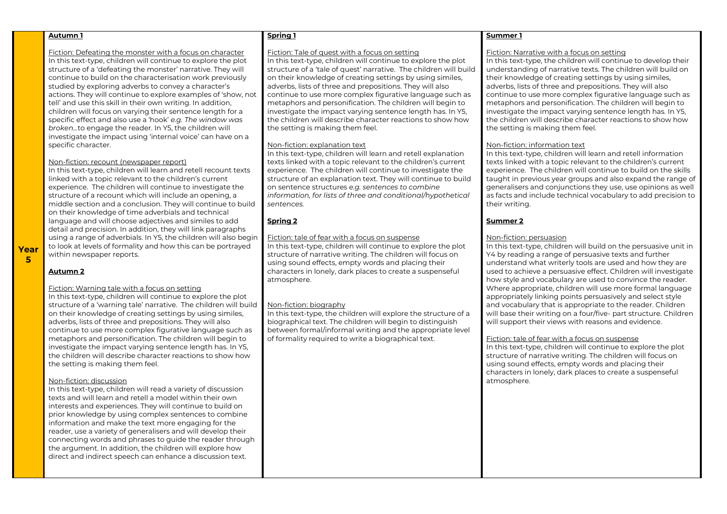Fiction: Defeating the monster with a focus on character In this text-type, children will continue to explore the plot structure of a 'defeating the monster' narrative. They will continue to build on the characterisation work previously studied by exploring adverbs to convey a character's actions. They will continue to explore examples of 'show, not tell' and use this skill in their own writing. In addition, children will focus on varying their sentence length for a specific effect and also use a 'hook' *e.g. The window was broken…*to engage the reader. In Y5, the children will investigate the impact using 'internal voice' can have on a specific character.

# Non-fiction: recount (newspaper report)

In this text-type, children will learn and retell recount texts linked with a topic relevant to the children's current experience. The children will continue to investigate the structure of a recount which will include an opening, a middle section and a conclusion. They will continue to build on their knowledge of time adverbials and technical language and will choose adjectives and similes to add detail and precision. In addition, they will link paragraphs using a range of adverbials. In Y5, the children will also begin to look at levels of formality and how this can be portrayed within newspaper reports.

**Year 5**

# **Autumn 2**

#### Fiction: Warning tale with a focus on setting

In this text-type, children will continue to explore the plot structure of a 'warning tale' narrative. The children will build on their knowledge of creating settings by using similes, adverbs, lists of three and prepositions. They will also continue to use more complex figurative language such as metaphors and personification. The children will begin to investigate the impact varying sentence length has. In Y5, the children will describe character reactions to show how the setting is making them feel.

#### Non-fiction: discussion

In this text-type, children will read a variety of discussion texts and will learn and retell a model within their own interests and experiences. They will continue to build on prior knowledge by using complex sentences to combine information and make the text more engaging for the reader, use a variety of generalisers and will develop their connecting words and phrases to guide the reader through the argument. In addition, the children will explore how direct and indirect speech can enhance a discussion text.

#### **Spring 1**

#### Fiction: Tale of quest with a focus on setting

In this text-type, children will continue to explore the plot structure of a 'tale of quest' narrative. The children will build on their knowledge of creating settings by using similes, adverbs, lists of three and prepositions. They will also continue to use more complex figurative language such as metaphors and personification. The children will begin to investigate the impact varying sentence length has. In Y5, the children will describe character reactions to show how the setting is making them feel.

### Non-fiction: explanation text

In this text-type, children will learn and retell explanation texts linked with a topic relevant to the children's current experience. The children will continue to investigate the structure of an explanation text. They will continue to build on sentence structures *e.g. sentences to combine information, for lists of three and conditional/hypothetical sentences.*

# **Spring 2**

# Fiction: tale of fear with a focus on suspense

In this text-type, children will continue to explore the plot structure of narrative writing. The children will focus on using sound effects, empty words and placing their characters in lonely, dark places to create a suspenseful atmosphere.

# Non-fiction: biography

In this text-type, the children will explore the structure of a biographical text. The children will begin to distinguish between formal/informal writing and the appropriate level of formality required to write a biographical text.

# **Summer 1**

#### Fiction: Narrative with a focus on setting

In this text-type, the children will continue to develop their understanding of narrative texts. The children will build on their knowledge of creating settings by using similes, adverbs, lists of three and prepositions. They will also continue to use more complex figurative language such as metaphors and personification. The children will begin to investigate the impact varying sentence length has. In Y5, the children will describe character reactions to show how the setting is making them feel.

# Non-fiction: information text

In this text-type, children will learn and retell information texts linked with a topic relevant to the children's current experience. The children will continue to build on the skills taught in previous year groups and also expand the range of generalisers and conjunctions they use, use opinions as well as facts and include technical vocabulary to add precision to their writing.

# **Summer 2**

# Non-fiction: persuasion

In this text-type, children will build on the persuasive unit in Y4 by reading a range of persuasive texts and further understand what writerly tools are used and how they are used to achieve a persuasive effect. Children will investigate how style and vocabulary are used to convince the reader. Where appropriate, children will use more formal language appropriately linking points persuasively and select style and vocabulary that is appropriate to the reader. Children will base their writing on a four/five- part structure. Children will support their views with reasons and evidence.

# Fiction: tale of fear with a focus on suspense

In this text-type, children will continue to explore the plot structure of narrative writing. The children will focus on using sound effects, empty words and placing their characters in lonely, dark places to create a suspenseful atmosphere.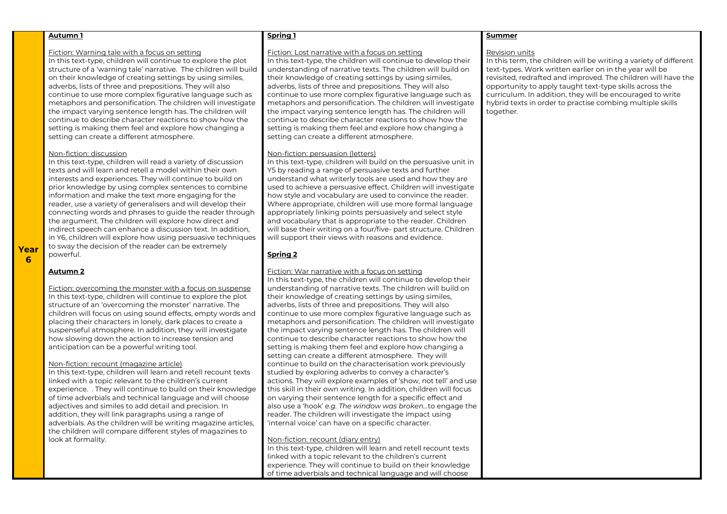#### Fiction: Warning tale with a focus on setting

In this text-type, children will continue to explore the plot structure of a 'warning tale' narrative. The children will build on their knowledge of creating settings by using similes, adverbs, lists of three and prepositions. They will also continue to use more complex figurative language such as metaphors and personification. The children will investigate the impact varying sentence length has. The children will continue to describe character reactions to show how the setting is making them feel and explore how changing a setting can create a different atmosphere.

#### Non-fiction: discussion

In this text-type, children will read a variety of discussion texts and will learn and retell a model within their own interests and experiences. They will continue to build on prior knowledge by using complex sentences to combine information and make the text more engaging for the reader, use a variety of generalisers and will develop their connecting words and phrases to guide the reader through the argument. The children will explore how direct and indirect speech can enhance a discussion text. In addition, in Y6, children will explore how using persuasive techniques to sway the decision of the reader can be extremely powerful.

**Year 6**

#### **Autumn 2**

Fiction: overcoming the monster with a focus on suspense In this text-type, children will continue to explore the plot structure of an 'overcoming the monster' narrative. The children will focus on using sound effects, empty words and placing their characters in lonely, dark places to create a suspenseful atmosphere. In addition, they will investigate how slowing down the action to increase tension and anticipation can be a powerful writing tool.

#### Non-fiction: recount (magazine article)

In this text-type, children will learn and retell recount texts linked with a topic relevant to the children's current experience. . They will continue to build on their knowledge of time adverbials and technical language and will choose adjectives and similes to add detail and precision. In addition, they will link paragraphs using a range of adverbials. As the children will be writing magazine articles, the children will compare different styles of magazines to look at formality.

#### **Spring 1**

#### Fiction: Lost narrative with a focus on setting

In this text-type, the children will continue to develop their understanding of narrative texts. The children will build on their knowledge of creating settings by using similes, adverbs, lists of three and prepositions. They will also continue to use more complex figurative language such as metaphors and personification. The children will investigate the impact varying sentence length has. The children will continue to describe character reactions to show how the setting is making them feel and explore how changing a setting can create a different atmosphere.

#### Non-fiction: persuasion (letters)

In this text-type, children will build on the persuasive unit in Y5 by reading a range of persuasive texts and further understand what writerly tools are used and how they are used to achieve a persuasive effect. Children will investigate how style and vocabulary are used to convince the reader. Where appropriate, children will use more formal language appropriately linking points persuasively and select style and vocabulary that is appropriate to the reader. Children will base their writing on a four/five- part structure. Children will support their views with reasons and evidence.

# **Spring 2**

# Fiction: War narrative with a focus on setting

In this text-type, the children will continue to develop their understanding of narrative texts. The children will build on their knowledge of creating settings by using similes, adverbs, lists of three and prepositions. They will also continue to use more complex figurative language such as metaphors and personification. The children will investigate the impact varying sentence length has. The children will continue to describe character reactions to show how the setting is making them feel and explore how changing a setting can create a different atmosphere. They will continue to build on the characterisation work previously studied by exploring adverbs to convey a character's actions. They will explore examples of 'show, not tell' and use this skill in their own writing. In addition, children will focus on varying their sentence length for a specific effect and also use a 'hook' *e.g. The window was broken…*to engage the reader. The children will investigate the impact using 'internal voice' can have on a specific character.

# Non-fiction: recount (diary entry)

In this text-type, children will learn and retell recount texts linked with a topic relevant to the children's current experience. They will continue to build on their knowledge of time adverbials and technical language and will choose

# **Summer**

## Revision units

In this term, the children will be writing a variety of different text-types. Work written earlier on in the year will be revisited, redrafted and improved. The children will have the opportunity to apply taught text-type skills across the curriculum. In addition, they will be encouraged to write hybrid texts in order to practise combing multiple skills together.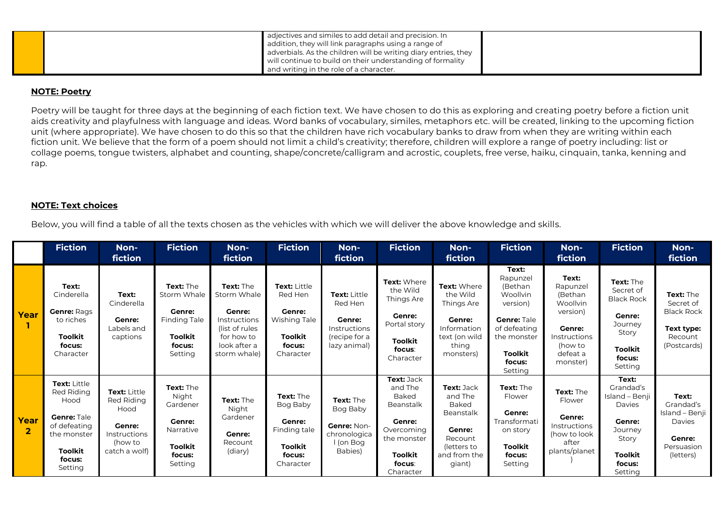|  | adjectives and similes to add detail and precision. In                                                                  |  |
|--|-------------------------------------------------------------------------------------------------------------------------|--|
|  | addition, they will link paragraphs using a range of<br>adverbials. As the children will be writing diary entries, they |  |
|  | will continue to build on their understanding of formality                                                              |  |
|  | and writing in the role of a character.                                                                                 |  |

# **NOTE: Poetry**

Poetry will be taught for three days at the beginning of each fiction text. We have chosen to do this as exploring and creating poetry before a fiction unit aids creativity and playfulness with language and ideas. Word banks of vocabulary, similes, metaphors etc. will be created, linking to the upcoming fiction unit (where appropriate). We have chosen to do this so that the children have rich vocabulary banks to draw from when they are writing within each fiction unit. We believe that the form of a poem should not limit a child's creativity; therefore, children will explore a range of poetry including: list or collage poems, tongue twisters, alphabet and counting, shape/concrete/calligram and acrostic, couplets, free verse, haiku, cinquain, tanka, kenning and rap.

# **NOTE: Text choices**

Below, you will find a table of all the texts chosen as the vehicles with which we will deliver the above knowledge and skills.

|                        | <b>Fiction</b>                                                                                                                 | Non-<br>fiction                                                                          | <b>Fiction</b>                                                                                      | Non-<br>fiction                                                                                                     | <b>Fiction</b>                                                                                                  | Non-<br>fiction                                                                           | <b>Fiction</b>                                                                                                                            | Non-<br>fiction                                                                                                         | <b>Fiction</b>                                                                                                                                   | Non-<br>fiction                                                                                                                        | <b>Fiction</b>                                                                                                             | Non-<br>fiction                                                                              |
|------------------------|--------------------------------------------------------------------------------------------------------------------------------|------------------------------------------------------------------------------------------|-----------------------------------------------------------------------------------------------------|---------------------------------------------------------------------------------------------------------------------|-----------------------------------------------------------------------------------------------------------------|-------------------------------------------------------------------------------------------|-------------------------------------------------------------------------------------------------------------------------------------------|-------------------------------------------------------------------------------------------------------------------------|--------------------------------------------------------------------------------------------------------------------------------------------------|----------------------------------------------------------------------------------------------------------------------------------------|----------------------------------------------------------------------------------------------------------------------------|----------------------------------------------------------------------------------------------|
| Year                   | Text:<br>Cinderella<br><b>Genre: Rags</b><br>to riches<br><b>Toolkit</b><br>focus:<br>Character                                | Text:<br>Cinderella<br>Genre:<br>Labels and<br>captions                                  | <b>Text: The</b><br>Storm Whale<br>Genre:<br><b>Finding Tale</b><br>Toolkit<br>focus:<br>Setting    | Text: The<br>Storm Whale<br>Genre:<br>Instructions<br>(list of rules)<br>for how to<br>look after a<br>storm whale) | <b>Text: Little</b><br>Red Hen<br><b>Genre:</b><br><b>Wishing Tale</b><br><b>Toolkit</b><br>focus:<br>Character | <b>Text: Little</b><br>Red Hen<br>Genre:<br>Instructions<br>(recipe for a<br>lazy animal) | Text: Where<br>the Wild<br>Things Are<br>Genre:<br>Portal story<br>Toolkit<br>focus:<br>Character                                         | Text: Where<br>the Wild<br>Things Are<br><b>Genre:</b><br>Information<br>text (on wild<br>thing<br>monsters)            | Text:<br>Rapunzel<br>(Bethan<br><b>Woollvin</b><br>version)<br><b>Genre: Tale</b><br>of defeating<br>the monster<br>Toolkit<br>focus:<br>Setting | Text:<br>Rapunzel<br>(Bethan<br>Woollvin<br>version)<br>Genre:<br><i><u><b>Instructions</b></u></i><br>(how to<br>defeat a<br>monster) | Text: The<br>Secret of<br><b>Black Rock</b><br>Genre:<br>Journey<br>Story<br>Toolkit<br>focus:<br>Setting                  | <b>Text: The</b><br>Secret of<br><b>Black Rock</b><br>Text type:<br>Recount<br>(Postcards)   |
| Year<br>$\overline{2}$ | <b>Text: Little</b><br>Red Riding<br>Hood<br>Genre: Tale<br>of defeating<br>the monster<br><b>Toolkit</b><br>focus:<br>Setting | Text: Little<br>Red Riding<br>Hood<br>Genre:<br>Instructions<br>(how to<br>catch a wolf) | Text: The<br>Night<br>Gardener<br><b>Genre:</b><br>Narrative<br><b>Toolkit</b><br>focus:<br>Setting | Text: The<br>Night<br>Gardener<br><b>Genre:</b><br>Recount<br>(diary)                                               | <b>Text: The</b><br>Bog Baby<br><b>Genre:</b><br>Finding tale<br><b>Toolkit</b><br>focus:<br>Character          | <b>Text: The</b><br>Bog Baby<br>Genre: Non-<br>chronologica<br>I (on Bog<br>Babies)       | Text: Jack<br>and The<br><b>Baked</b><br>Beanstalk<br><b>Genre:</b><br>Overcoming<br>the monster<br><b>Toolkit</b><br>focus:<br>Character | Text: Jack<br>and The<br><b>Baked</b><br><b>Beanstalk</b><br>Genre:<br>Recount<br>(letters to<br>and from the<br>giant) | Text: The<br>Flower<br>Genre:<br>Transformati<br>on story<br>Toolkit<br>focus:<br>Setting                                                        | Text: The<br>Flower<br><b>Genre:</b><br><b>Instructions</b><br>(how to look<br>after<br>plants/planet                                  | Text:<br>Grandad's<br>Island - Benii<br>Davies<br><b>Genre:</b><br>Journey<br>Story<br><b>Toolkit</b><br>focus:<br>Setting | Text:<br>Grandad's<br>Island - Benji  <br>Davies<br><b>Genre:</b><br>Persuasion<br>(letters) |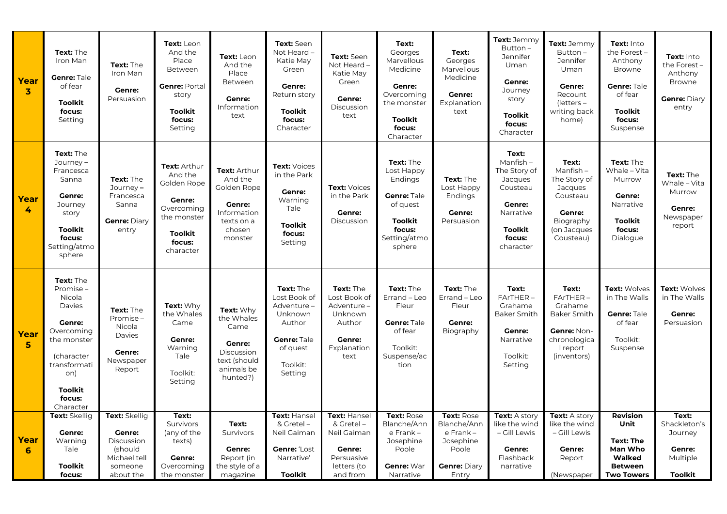| Year<br>$\overline{\mathbf{3}}$ | Text: The<br>Iron Man<br>Genre: Tale<br>of fear<br><b>Toolkit</b><br>focus:<br>Setting                                                                                       | Text: The<br>Iron Man<br><b>Genre:</b><br>Persuasion                                            | Text: Leon<br>And the<br>Place<br>Between<br><b>Genre: Portal</b><br>story<br><b>Toolkit</b><br>focus:<br>Setting             | Text: Leon<br>And the<br>Place<br>Between<br>Genre:<br>Information<br>text                         | Text: Seen<br>Not Heard -<br>Katie May<br>Green<br>Genre:<br>Return story<br><b>Toolkit</b><br>focus:<br>Character | Text: Seen<br>Not Heard -<br>Katie May<br>Green<br>Genre:<br>Discussion<br>text                    | Text:<br>Georges<br>Marvellous<br>Medicine<br><b>Genre:</b><br>Overcoming<br>the monster<br>Toolkit<br>focus:<br>Character | Text:<br>Georges<br>Marvellous<br>Medicine<br><b>Genre:</b><br>Explanation<br>text           | Text: Jemmy<br>$Button -$<br>Jennifer<br>Uman<br><b>Genre:</b><br>Journey<br>story<br><b>Toolkit</b><br>focus:<br>Character         | Text: Jemmy<br>Button-<br><b>Jennifer</b><br>Uman<br>Genre:<br>Recount<br>$l$ etters –<br>writing back<br>home)       | Text: Into<br>the Forest-<br>Anthony<br><b>Browne</b><br>Genre: Tale<br>of fear<br><b>Toolkit</b><br>focus:<br>Suspense | Text: Into<br>the Forest $-$<br>Anthony<br><b>Browne</b><br><b>Genre:</b> Diary<br>entry |
|---------------------------------|------------------------------------------------------------------------------------------------------------------------------------------------------------------------------|-------------------------------------------------------------------------------------------------|-------------------------------------------------------------------------------------------------------------------------------|----------------------------------------------------------------------------------------------------|--------------------------------------------------------------------------------------------------------------------|----------------------------------------------------------------------------------------------------|----------------------------------------------------------------------------------------------------------------------------|----------------------------------------------------------------------------------------------|-------------------------------------------------------------------------------------------------------------------------------------|-----------------------------------------------------------------------------------------------------------------------|-------------------------------------------------------------------------------------------------------------------------|------------------------------------------------------------------------------------------|
| Year<br>4                       | Text: The<br>Journey-<br>Francesca<br>Sanna<br><b>Genre:</b><br>Journey<br>story<br><b>Toolkit</b><br>focus:<br>Setting/atmo<br>sphere                                       | Text: The<br>Journey-<br>Francesca<br>Sanna<br>Genre: Diary<br>entry                            | Text: Arthur<br>And the<br>Golden Rope<br><b>Genre:</b><br>Overcoming<br>the monster<br><b>Toolkit</b><br>focus:<br>character | Text: Arthur<br>And the<br>Golden Rope<br>Genre:<br>Information<br>texts on a<br>chosen<br>monster | <b>Text: Voices</b><br>in the Park<br><b>Genre:</b><br>Warning<br>Tale<br><b>Toolkit</b><br>focus:<br>Setting      | <b>Text: Voices</b><br>in the Park<br>Genre:<br>Discussion                                         | Text: The<br>Lost Happy<br>Endings<br>Genre: Tale<br>of quest<br><b>Toolkit</b><br>focus:<br>Setting/atmo<br>sphere        | Text: The<br>Lost Happy<br>Endings<br><b>Genre:</b><br>Persuasion                            | Text:<br>$M$ anfish –<br>The Story of<br>Jacques<br>Cousteau<br><b>Genre:</b><br>Narrative<br><b>Toolkit</b><br>focus:<br>character | Text:<br>Manfish $-$<br>The Story of<br>Jacques<br>Cousteau<br><b>Genre:</b><br>Biography<br>(on Jacques<br>Cousteau) | Text: The<br>Whale - Vita<br>Murrow<br>Genre:<br>Narrative<br><b>Toolkit</b><br>focus:<br>Dialogue                      | Text: The<br>Whale - Vita<br>Murrow<br>Genre:<br>Newspaper<br>report                     |
| Year<br>5                       | Text: The<br>Promise-<br>Nicola<br>Davies<br><b>Genre:</b><br>Overcoming<br>the monster<br><i>(character</i><br>transformati<br>on)<br><b>Toolkit</b><br>focus:<br>Character | Text: The<br>Promise-<br>Nicola<br>Davies<br><b>Genre:</b><br>Newspaper<br>Report               | Text: Whv<br>the Whales<br>Came<br>Genre:<br>Warning<br>Tale<br>Toolkit:<br>Setting                                           | Text: Whv<br>the Whales<br>Came<br>Genre:<br>Discussion<br>text (should<br>animals be<br>hunted?)  | Text: The<br>Lost Book of<br>Adventure -<br>Unknown<br>Author<br>Genre: Tale<br>of quest<br>Toolkit:<br>Setting    | Text: The<br>Lost Book of<br>Adventure-<br>Unknown<br>Author<br>Genre:<br>Explanation<br>text      | Text: The<br>Errand - Leo<br>Fleur<br>Genre: Tale<br>of fear<br>Toolkit:<br>Suspense/ac<br>tion                            | Text: The<br>Errand - Leo<br>Fleur<br><b>Genre:</b><br>Biography                             | Text:<br>FArTHER-<br>Grahame<br><b>Baker Smith</b><br>Genre:<br>Narrative<br>Toolkit:<br>Setting                                    | Text:<br>FArTHER-<br>Grahame<br><b>Baker Smith</b><br>Genre: Non-<br>chronologica<br>I report<br>(inventors)          | <b>Text: Wolves</b><br>in The Walls<br>Genre: Tale<br>of fear<br>Toolkit:<br>Suspense                                   | <b>Text: Wolves</b><br>in The Walls<br>Genre:<br>Persuasion                              |
| Year<br>6                       | Text: Skellig<br><b>Genre:</b><br>Warning<br>Tale<br><b>Toolkit</b><br>focus:                                                                                                | Text: Skellig<br><b>Genre:</b><br>Discussion<br>(should<br>Michael tell<br>someone<br>about the | Text:<br>Survivors<br>(any of the<br>texts)<br>Genre:<br>Overcoming<br>the monster                                            | Text:<br>Survivors<br><b>Genre:</b><br>Report (in<br>the style of a<br>magazine                    | Text: Hansel<br>& Gretel -<br>Neil Gaiman<br>Genre: 'Lost<br>Narrative'<br>Toolkit                                 | Text: Hansel<br>& Gretel-<br>Neil Gaiman<br><b>Genre:</b><br>Persuasive<br>letters (to<br>and from | Text: Rose<br>Blanche/Ann<br>e Frank -<br>Josephine<br>Poole<br>Genre: War<br>Narrative                                    | Text: Rose<br>Blanche/Ann<br>e Frank -<br>Josephine<br>Poole<br><b>Genre: Diary</b><br>Entry | Text: A story<br>like the wind<br>- Gill Lewis<br><b>Genre:</b><br>Flashback<br>narrative                                           | Text: A story<br>like the wind<br>- Gill Lewis<br><b>Genre:</b><br>Report<br>(Newspaper                               | <b>Revision</b><br>Unit<br>Text: The<br>Man Who<br>Walked<br><b>Between</b><br><b>Two Towers</b>                        | Text:<br>Shackleton's<br>Journey<br>Genre:<br>Multiple<br><b>Toolkit</b>                 |